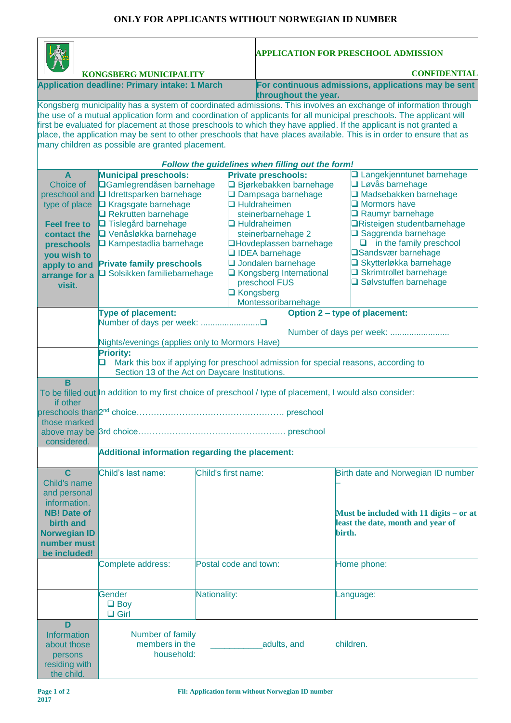## **ONLY FOR APPLICANTS WITHOUT NORWEGIAN ID NUMBER**

|                                                                                                                                                                                                                                                                                                                                                                                                                                                                                                                                            |                                                                                                                                                                                                                                                                                                         |                       |                                                                                                                                                                                                                                                                                                           | <b>APPLICATION FOR PRESCHOOL ADMISSION</b>                                                                                                                                                                                                                                                                                                                |  |  |  |  |  |
|--------------------------------------------------------------------------------------------------------------------------------------------------------------------------------------------------------------------------------------------------------------------------------------------------------------------------------------------------------------------------------------------------------------------------------------------------------------------------------------------------------------------------------------------|---------------------------------------------------------------------------------------------------------------------------------------------------------------------------------------------------------------------------------------------------------------------------------------------------------|-----------------------|-----------------------------------------------------------------------------------------------------------------------------------------------------------------------------------------------------------------------------------------------------------------------------------------------------------|-----------------------------------------------------------------------------------------------------------------------------------------------------------------------------------------------------------------------------------------------------------------------------------------------------------------------------------------------------------|--|--|--|--|--|
| <b>KONGSBERG MUNICIPALITY</b>                                                                                                                                                                                                                                                                                                                                                                                                                                                                                                              |                                                                                                                                                                                                                                                                                                         |                       |                                                                                                                                                                                                                                                                                                           | <b>CONFIDENTIAL</b>                                                                                                                                                                                                                                                                                                                                       |  |  |  |  |  |
| <b>Application deadline: Primary intake: 1 March</b>                                                                                                                                                                                                                                                                                                                                                                                                                                                                                       |                                                                                                                                                                                                                                                                                                         |                       |                                                                                                                                                                                                                                                                                                           | For continuous admissions, applications may be sent<br>throughout the year.                                                                                                                                                                                                                                                                               |  |  |  |  |  |
| Kongsberg municipality has a system of coordinated admissions. This involves an exchange of information through<br>the use of a mutual application form and coordination of applicants for all municipal preschools. The applicant will<br>first be evaluated for placement at those preschools to which they have applied. If the applicant is not granted a<br>place, the application may be sent to other preschools that have places available. This is in order to ensure that as<br>many children as possible are granted placement. |                                                                                                                                                                                                                                                                                                         |                       |                                                                                                                                                                                                                                                                                                           |                                                                                                                                                                                                                                                                                                                                                           |  |  |  |  |  |
| Follow the guidelines when filling out the form!                                                                                                                                                                                                                                                                                                                                                                                                                                                                                           |                                                                                                                                                                                                                                                                                                         |                       |                                                                                                                                                                                                                                                                                                           |                                                                                                                                                                                                                                                                                                                                                           |  |  |  |  |  |
| $\overline{A}$<br>Choice of<br>preschool and<br>type of place<br><b>Feel free to</b><br>contact the<br>preschools<br>you wish to<br>apply to and<br>arrange for a<br>visit.                                                                                                                                                                                                                                                                                                                                                                | <b>Municipal preschools:</b><br><b>□Gamlegrendåsen barnehage</b><br><b>Q</b> Idrettsparken barnehage<br>□ Kragsgate barnehage<br>Rekrutten barnehage<br>□ Tislegård barnehage<br>□ Venåsløkka barnehage<br>□ Kampestadlia barnehage<br><b>Private family preschools</b><br>□ Solsikken familiebarnehage |                       | <b>Private preschools:</b><br>□ Bjørkebakken barnehage<br>□ Dampsaga barnehage<br>$\Box$ Huldraheimen<br>steinerbarnehage 1<br>$\Box$ Huldraheimen<br>steinerbarnehage 2<br><b>QHovdeplassen barnehage</b><br>IDEA barnehage<br><b>Q</b> Jondalen barnehage<br>□ Kongsberg International<br>preschool FUS | □ Langekjenntunet barnehage<br><b>Q</b> Løvås barnehage<br>Madsebakken barnehage<br>$\Box$ Mormors have<br><b>Q</b> Raumyr barnehage<br><b>□Risteigen studentbarnehage</b><br>□ Saggrenda barnehage<br>$\Box$ in the family preschool<br><b>□Sandsvær barnehage</b><br><b>□ Skytterløkka barnehage</b><br>Skrimtrollet barnehage<br>Sølvstuffen barnehage |  |  |  |  |  |
|                                                                                                                                                                                                                                                                                                                                                                                                                                                                                                                                            |                                                                                                                                                                                                                                                                                                         |                       | <b>□</b> Kongsberg<br>Montessoribarnehage                                                                                                                                                                                                                                                                 |                                                                                                                                                                                                                                                                                                                                                           |  |  |  |  |  |
|                                                                                                                                                                                                                                                                                                                                                                                                                                                                                                                                            | Type of placement:                                                                                                                                                                                                                                                                                      |                       |                                                                                                                                                                                                                                                                                                           | Option 2 - type of placement:<br>Number of days per week:                                                                                                                                                                                                                                                                                                 |  |  |  |  |  |
|                                                                                                                                                                                                                                                                                                                                                                                                                                                                                                                                            | Nights/evenings (applies only to Mormors Have)<br><b>Priority:</b><br>Mark this box if applying for preschool admission for special reasons, according to<br>Section 13 of the Act on Daycare Institutions.                                                                                             |                       |                                                                                                                                                                                                                                                                                                           |                                                                                                                                                                                                                                                                                                                                                           |  |  |  |  |  |
| B<br>if other<br>those marked<br>considered.                                                                                                                                                                                                                                                                                                                                                                                                                                                                                               | To be filled out In addition to my first choice of preschool / type of placement, I would also consider:                                                                                                                                                                                                |                       |                                                                                                                                                                                                                                                                                                           |                                                                                                                                                                                                                                                                                                                                                           |  |  |  |  |  |
|                                                                                                                                                                                                                                                                                                                                                                                                                                                                                                                                            | Additional information regarding the placement:                                                                                                                                                                                                                                                         |                       |                                                                                                                                                                                                                                                                                                           |                                                                                                                                                                                                                                                                                                                                                           |  |  |  |  |  |
| $\mathbf C$<br>Child's name<br>and personal<br>information.<br><b>NB! Date of</b><br>birth and<br><b>Norwegian ID</b><br>number must<br>be included!                                                                                                                                                                                                                                                                                                                                                                                       | Child's last name:                                                                                                                                                                                                                                                                                      | Child's first name:   |                                                                                                                                                                                                                                                                                                           | Birth date and Norwegian ID number<br>Must be included with 11 digits $-$ or at<br>least the date, month and year of<br>birth.                                                                                                                                                                                                                            |  |  |  |  |  |
|                                                                                                                                                                                                                                                                                                                                                                                                                                                                                                                                            | Complete address:                                                                                                                                                                                                                                                                                       | Postal code and town: |                                                                                                                                                                                                                                                                                                           | Home phone:                                                                                                                                                                                                                                                                                                                                               |  |  |  |  |  |
|                                                                                                                                                                                                                                                                                                                                                                                                                                                                                                                                            | Gender<br>$\Box$ Boy<br>$\Box$ Girl                                                                                                                                                                                                                                                                     | Nationality:          |                                                                                                                                                                                                                                                                                                           | Language:                                                                                                                                                                                                                                                                                                                                                 |  |  |  |  |  |
| D<br>Information<br>about those<br>persons<br>residing with<br>the child.                                                                                                                                                                                                                                                                                                                                                                                                                                                                  | Number of family<br>members in the<br>household:                                                                                                                                                                                                                                                        |                       | adults, and                                                                                                                                                                                                                                                                                               | children.                                                                                                                                                                                                                                                                                                                                                 |  |  |  |  |  |

 $\mathsf{r}$